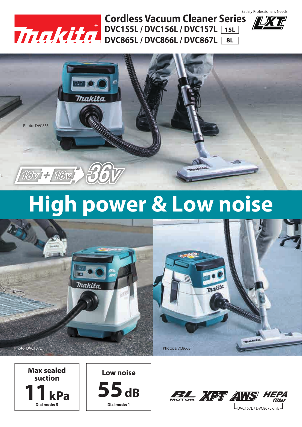

**DVC865L / DVC866L / DVC867L DVC155L / DVC156L / DVC157L 15L Cordless Vacuum Cleaner Series**<br>DVC155L / DVC156L / DVC157L 15L **8L**





### **High power & Low noise**











 $L_{\text{DVC157L}}$  / DVC867L only  $\overline{\phantom{a}}$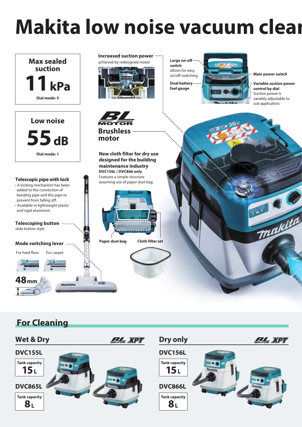## **Makita low noise vacuum clear**



### **For Cleaning**

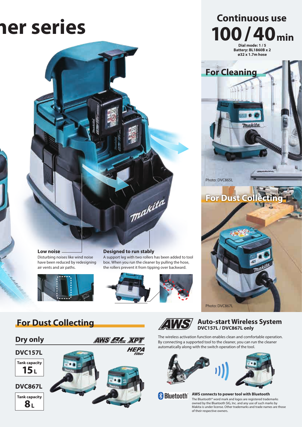# **Prices May be the Series May be the Series May be the Continuous use**



**Low noise** Disturbing noises like wind noise have been reduced by redesigning air vents and air paths.



#### **Designed to run stably**

A support leg with two rollers has been added to tool box. When you run the cleaner by pulling the hose, the rollers prevent it from tipping over backward.





#### **Auto-start Wireless System DVC157L / DVC867L only**

**Dry only The wireless activation function enables clean and comfortable operation.**<br>By connecting a supported tool to the cleaner, you can run the cleaner automatically along with the switch operation of the tool.

Photo: DVC867L



**Bluetooth** 

#### **AWS connects to power tool with Bluetooth**

The Bluetooth® word mark and logos are registered trademarks owned by the Bluetooth SIG, Inc. and any use of such marks by Makita is under license. Other trademarks and trade names are those of their respective owners.





**DVC867L**

**8L Tank capacity**



**Dial mode: 1 / 5 Battery: BL1860B x 2 ø32 x 1.7m hose 100/40min**

Trakita

**For Cleaning**

**For Dust Col** 

Photo: DVC865L